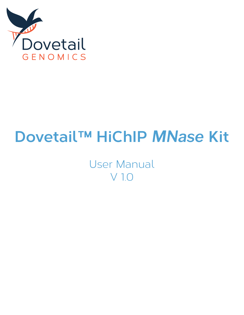

# **Dovetail™ HiChIP** *MNase* **Kit**

User Manual V 1.0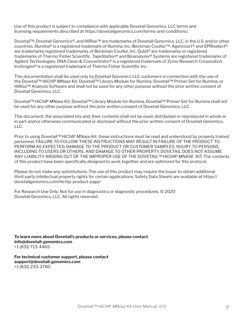Use of this product is subject to compliance with applicable Dovetail Genomics, LLC terms and licensing requirements described at https://dovetailgenomics.com/terms-and-conditions/.

Dovetail™, Dovetail Genomics®, and HiRise™ are trademarks of Dovetail Genomics, LLC. in the U.S. and/or other countries. Illumina® is a registered trademark of Illumina, Inc. Beckman Coulter™, Agencourt® and SPRIselect® are trademarks registered trademarks of Beckman Coulter, Inc. Qubit® are trademarks or registered trademarks of Thermo Fisher Scientific. TapeStation® and Bioanalyzer® Systems are registered trademarks of Agilent Technologies. DNA Clean & Concentrator® is a registered trademark of Zymo Research Corporation. Invitrogen® is a registered trademark of Thermo Fisher Scientific Inc.

This documentation shall be used only by Dovetail Genomics LLC customers in connection with the use of the Dovetail™ HiChIP *MNase* Kit, Dovetail™ Library Module for Illumina, Dovetail™ Primer Set for Illumina, or HiRise™ Analysis Software and shall not be used for any other purpose without the prior written consent of Dovetail Genomics, LLC.

Dovetail™ HiChIP *MNase* Kit, Dovetail™ Library Module for Illumina, Dovetail™ Primer Set for Illumina shall not be used for any other purpose without the prior written consent of Dovetail Genomics, LLC.

This document, the associated kits and, their contents shall not be used, distributed or reproduced in whole or in part and/or otherwise communicated or disclosed without the prior written consent of Dovetail Genomics, LLC.

Prior to using Dovetail™ HiChIP *MNase* Kit, these instructions must be read and understood by properly trained personnel. FAILURE TO FOLLOW THESE INSTRUCTIONS MAY RESULT IN FAILURE OF THE PRODUCT TO PERFORM AS EXPECTED, DAMAGE TO THE PRODUCT OR CUSTOMER SAMPLES, INJURY TO PERSONS, INCLUDING TO USERS OR OTHERS, AND DAMAGE TO OTHER PROPERTY. DOVETAIL DOES NOT ASSUME ANY LIABILITY ARISING OUT OF THE IMPROPER USE OF THE DOVETAIL™ HICHIP *MNASE* KIT. The contents of this product have been specifically designed to work together and are optimized for this protocol.

Please do not make any substitutions. The use of this product may require the buyer to obtain additional third-party intellectual property rights for certain applications. Safety Data Sheets are available at https:// dovetailgenomics.com/hichip-product-page/

For Research Use Only. Not for use in diagnostics or diagnostic procedures. © 2020 Dovetail Genomics, LLC. All rights reserved.

**To learn more about Dovetail's products or services, please contact info@dovetail-genomics.com** +1 (831) 713-4465

**For technical customer support, please contact support@dovetail-genomics.com** +1 (831) 233-3780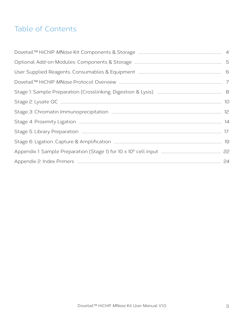# Table of Contents

| Stage 1: Sample Preparation (Crosslinking, Digestion & Lysis) [11] [130] [130] [130] [130] Stage 1: Sample Preparation (Crosslinking, Digestion & Lysis) [231] [130] [130] [130] [130] [130] [130] [130] [130] [130] [130] [13 |  |
|--------------------------------------------------------------------------------------------------------------------------------------------------------------------------------------------------------------------------------|--|
|                                                                                                                                                                                                                                |  |
|                                                                                                                                                                                                                                |  |
|                                                                                                                                                                                                                                |  |
|                                                                                                                                                                                                                                |  |
|                                                                                                                                                                                                                                |  |
|                                                                                                                                                                                                                                |  |
|                                                                                                                                                                                                                                |  |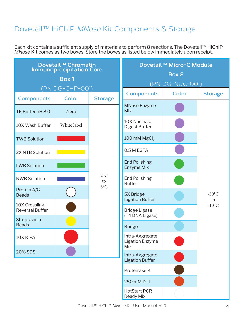# Dovetail™ HiChIP *MNase* Kit Components & Storage

Each kit contains a sufficient supply of materials to perform 8 reactions. The Dovetail™ HiChIP *MNase* Kit comes as two boxes. Store the boxes as listed below immediately upon receipt.

|                                         | Dovetail <sup>™</sup> Chromatin<br><b>Immunoprecipitation Core</b><br><b>Box 1</b> |                    |                                                                   | Dovetail™ Micro-C Module<br>Box 2<br>(PN DG-NUC-001) |                       |
|-----------------------------------------|------------------------------------------------------------------------------------|--------------------|-------------------------------------------------------------------|------------------------------------------------------|-----------------------|
| <b>Components</b>                       | (PN DG-CHP-001)<br><b>Color</b>                                                    | <b>Storage</b>     | <b>Components</b>                                                 | <b>Color</b>                                         | <b>Storage</b>        |
| TE Buffer pH 8.0                        | None                                                                               |                    | <b>MNase Enzyme</b><br><b>Mix</b>                                 |                                                      |                       |
| 10X Wash Buffer                         | White label                                                                        |                    | 10X Nuclease<br><b>Digest Buffer</b>                              |                                                      |                       |
| <b>TWB Solution</b>                     |                                                                                    |                    | 100 mM MgCl <sub>2</sub>                                          |                                                      |                       |
| 2X NTB Solution                         |                                                                                    |                    | 0.5 M EGTA                                                        |                                                      |                       |
| <b>LWB Solution</b>                     |                                                                                    |                    | <b>End Polishing</b><br><b>Enzyme Mix</b>                         |                                                      |                       |
| <b>NWB Solution</b>                     |                                                                                    | $2^{\circ}C$<br>to | <b>End Polishing</b><br><b>Buffer</b>                             |                                                      |                       |
| Protein A/G<br><b>Beads</b>             |                                                                                    | $8^{\circ}$ C      | 5X Bridge<br><b>Ligation Buffer</b>                               |                                                      | $-30^{\circ}$ C<br>to |
| 10X Crosslink<br><b>Reversal Buffer</b> |                                                                                    |                    | <b>Bridge Ligase</b>                                              |                                                      | $-10$ °C              |
| Streptavidin<br><b>Beads</b>            |                                                                                    |                    | (T4 DNA Ligase)                                                   |                                                      |                       |
| 10X RIPA                                |                                                                                    |                    | <b>Bridge</b><br>Intra-Aggregate<br><b>Ligation Enzyme</b><br>Mix |                                                      |                       |
| 20% SDS                                 |                                                                                    |                    | Intra-Aggregate<br><b>Ligation Buffer</b>                         |                                                      |                       |
|                                         |                                                                                    |                    | Proteinase K                                                      |                                                      |                       |
|                                         |                                                                                    |                    | 250 mM DTT                                                        |                                                      |                       |
|                                         |                                                                                    |                    | <b>HotStart PCR</b><br>Ready Mix                                  |                                                      |                       |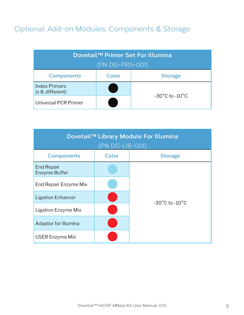# Optional Add-on Modules: Components & Storage

| Dovetail™ Primer Set For Illumina            |  |                                    |  |
|----------------------------------------------|--|------------------------------------|--|
| (PN DG-PRS-001)                              |  |                                    |  |
| Color<br><b>Components</b><br><b>Storage</b> |  |                                    |  |
| <b>Index Primers</b><br>(x 8, different)     |  |                                    |  |
| <b>Universal PCR Primer</b>                  |  | $-30^{\circ}$ C to $-10^{\circ}$ C |  |

| Dovetail™ Library Module For Illumina<br>(PN DG-LIB-001) |       |                                    |  |
|----------------------------------------------------------|-------|------------------------------------|--|
| <b>Components</b>                                        | Color | <b>Storage</b>                     |  |
| <b>End Repair</b><br><b>Enzyme Buffer</b>                |       |                                    |  |
| End Repair Enzyme Mix                                    |       |                                    |  |
| <b>Ligation Enhancer</b>                                 |       | $-30^{\circ}$ C to $-10^{\circ}$ C |  |
| Ligation Enzyme Mix                                      |       |                                    |  |
| Adaptor for Illumina                                     |       |                                    |  |
| <b>USER Enzyme Mix</b>                                   |       |                                    |  |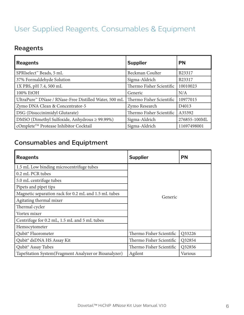# User Supplied Reagents, Consumables & Equipment

# **Reagents**

| <b>Reagents</b>                                       | <b>Supplier</b>          | <b>PN</b>         |
|-------------------------------------------------------|--------------------------|-------------------|
| SPRIselect <sup>™</sup> Beads, 5 mL                   | Beckman Coulter          | B23317            |
| 37% Formaldehyde Solution                             | Sigma-Aldrich            | B23317            |
| 1X PBS, pH 7.4, 500 mL                                | Thermo Fisher Scientific | 10010023          |
| 100% EtOH                                             | Generic                  | N/A               |
| UltraPure™ DNase / RNase-Free Distilled Water, 500 mL | Thermo Fisher Scientific | 10977015          |
| Zymo DNA Clean & Concentrator-5                       | Zymo Research            | D <sub>4013</sub> |
| DSG (Disuccinimidyl Glutarate)                        | Thermo Fisher Scientific | A35392            |
| DMSO (Dimethyl Sulfoxide, Anhydrous ≥ 99.99%)         | Sigma-Aldrich            | 276855-100ML      |
| cOmplete™ Protease Inhibitor Cocktail                 | Sigma-Aldrich            | 11697498001       |

# **Consumables and Equiptment**

| <b>Reagents</b>                                      | <b>Supplier</b>          | <b>PN</b> |
|------------------------------------------------------|--------------------------|-----------|
| 1.5 mL Low binding microcentrifuge tubes             |                          |           |
| 0.2 mL PCR tubes                                     |                          |           |
| 5.0 mL centrifuge tubes                              |                          |           |
| Pipets and pipet tips                                |                          |           |
| Magnetic separation rack for 0.2 mL and 1.5 mL tubes | Generic                  |           |
| Agitating thermal mixer                              |                          |           |
| Thermal cycler                                       |                          |           |
| Vortex mixer                                         |                          |           |
| Centrifuge for 0.2 mL, 1.5 mL and 5 mL tubes         |                          |           |
| Hemocytometer                                        |                          |           |
| Qubit <sup>®</sup> Fluorometer                       | Thermo Fisher Scientific | Q33226    |
| Qubit <sup>®</sup> dsDNA HS Assay Kit                | Thermo Fisher Scientific | Q32854    |
| Qubit <sup>®</sup> Assay Tubes                       | Thermo Fisher Scientific | Q32856    |
| TapeStation System(Fragment Analyzer or Bioanalyzer) | Agilent                  | Various   |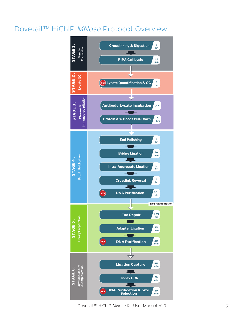# Dovetail™ HiChIP *MNase* Protocol Overview

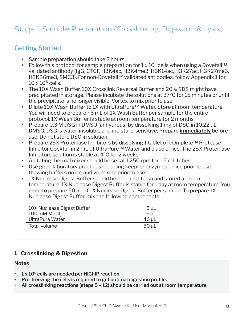# Stage 1: Sample Preparation (Crosslinking, Digestion & Lysis)

### Getting Started

- **•** Sample preparation should take 2 hours.
- Follow this protocol for sample preparation for 1 x 10<sup>6</sup> cells when using a Dovetail™ validated antibody (IgG, CTCF, H3K4ac, H3K4me3, H3K14ac, H3K27ac, H3K27me3, H3K36me3, SMC3). For non-Dovetail™ validated antibodies, follow Appendix 1 for  $10 \times 10^6$  cells.
- **•** The 10X Wash Buffer, 10X Crosslink Reversal Buffer, and 20% SDS might have precipitated in storage. Please incubate the solutions at 37ºC for 15 minutes or until the precipitate is no longer visible. Vortex to mix prior to use.
- **•** Dilute 10X Wash Buffer to 1X with UltraPure™ Water. Store at room temperature. You will need to prepare ~6 mL of 1X Wash Buffer per sample for the entire protocol. 1X Wash Buffer is stable at room temperature for 2 months.
- **•** Prepare 0.3 M DSG in DMSO (anhydrous) by dissolving 1 mg of DSG in 10.22 μL DMSO. DSG is water-insoluble and moisture-sensitive. Prepare **immediately** before use. Do not store DSG in solution.
- **•** Prepare 25X Proteinase Inhibitors by dissolving 1 tablet of cOmplete™ Protease Inhibitor Cocktail in 2 mL of UltraPure™ Water and place on ice. The 25X Proteinase Inhibitors solution is stable at 4ºC for 2 weeks.
- **•** Agitating thermal mixer should be set at 1,250 rpm for 1.5 mL tubes.
- **•** Use good laboratory practices including keeping enzymes on ice prior to use, thawing buffers on ice and vortexing prior to use.
- **•** 1X Nuclease Digest Buffer should be prepared fresh and stored at room temperature. 1X Nuclease Digest Buffer is stable for 1 day at room temperature. You need to prepare 50 μL of 1X Nuclease Digest Buffer per sample. To prepare 1X Nuclease Digest Buffer, mix the following components:

| 10X Nuclease Digest Buffer | $5 \mu L$      |
|----------------------------|----------------|
| 100 mM $MgCl2$             | 5 <sub>µ</sub> |
| <b>UltraPure Water</b>     | $40$ µL        |
| Total volume               | $50$ $\mu$ L   |

### **I. Crosslinking & Digestion**

#### **Notes**

- **• 1 x 106 cells are needed per HiChIP reaction**
- **• Pre-freezing the cells is required to get optimal digestion profile.**
- **• All crosslinking reactions (steps 5 12) should be carried out at room temperature.**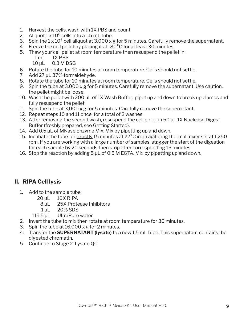- 1. Harvest the cells, wash with 1X PBS and count.
- 2. Aliquot  $1 \times 10^6$  cells into a 1.5 mL tube.
- 3. Spin the  $1 \times 10^6$  cell aliquot at 3,000 x g for 5 minutes. Carefully remove the supernatant.
- 4. Freeze the cell pellet by placing it at -80<sup>°</sup>C for at least 30 minutes.
- 5. Thaw your cell pellet at room temperature then resuspend the pellet in:
	- 1 mL 1X PBS
	- 10 µL 0.3 M DSG
- 6. Rotate the tube for 10 minutes at room temperature. Cells should not settle.
- 7. Add 27 µL 37% formaldehyde.
- 8. Rotate the tube for 10 minutes at room temperature. Cells should not settle.
- 9. Spin the tube at 3,000 x g for 5 minutes. Carefully remove the supernatant. Use caution, the pellet might be loose.
- 10. Wash the pellet with 200 µL of 1X Wash Buffer, pipet up and down to break up clumps and fully resuspend the pellet.
- 11. Spin the tube at 3,000 x g for 5 minutes. Carefully remove the supernatant.
- 12. Repeat steps 10 and 11 once, for a total of 2 washes.
- 13. After removing the second wash, resuspend the cell pellet in 50 µL 1X Nuclease Digest Buffer (freshly prepared, see Getting Started).
- 14. Add 0.5 µL of MNase Enzyme Mix. Mix by pipetting up and down.
- 15. Incubate the tube for exactly 15 minutes at 22°C in an agitating thermal mixer set at 1,250 rpm. If you are working with a large number of samples, stagger the start of the digestion for each sample by 20 seconds then stop after corresponding 15 minutes.
- 16. Stop the reaction by adding 5 µL of 0.5 M EGTA. Mix by pipetting up and down.

### **II. RIPA Cell lysis**

- 1. Add to the sample tube:
	- $20 \mu L$  10X RIPA
		- 8 μL 25X Protease Inhibitors
		- 1 uL 20% SDS
	- 115.5 μL UltraPure water
- 2. Invert the tube to mix then rotate at room temperature for 30 minutes.
- 3. Spin the tube at 16,000 x g for 2 minutes.
- 4. Transfer the **SUPERNATANT (lysate)** to a new 1.5 mL tube. This supernatant contains the digested chromatin.
- 5. Continue to Stage 2: Lysate QC.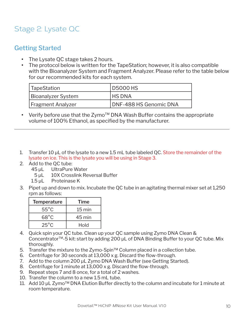# Stage 2: Lysate QC

### Getting Started

- **•** The Lysate QC stage takes 2 hours.
- **•** The protocol below is written for the TapeStation; however, it is also compatible with the Bioanalyzer System and Fragment Analyzer. Please refer to the table below for our recommended kits for each system.

| TapeStation               | <b>D5000 HS</b>        |
|---------------------------|------------------------|
| <b>Bioanalyzer System</b> | <b>HS DNA</b>          |
| <b>Fragment Analyzer</b>  | DNF-488 HS Genomic DNA |

- Verify before use that the Zymo<sup>TM</sup> DNA Wash Buffer contains the appropriate volume of 100% Ethanol, as specified by the manufacturer.
- 1. Transfer 10  $\mu$ L of the lysate to a new 1.5 mL tube labeled QC. Store the remainder of the lysate on ice. This is the lysate you will be using in Stage 3.
- 2. Add to the QC tube:
	- 45 μL UltraPure Water
		- 5 μL 10X Crosslink Reversal Buffer
	- 1.5 μL Proteinase K
- 3. Pipet up and down to mix. Incubate the QC tube in an agitating thermal mixer set at 1,250 rpm as follows:

| <b>Temperature</b> | Time             |
|--------------------|------------------|
| $55^{\circ}$ C     | $15 \text{ min}$ |
| $68^{\circ}$ C     | 45 min           |
| $25^{\circ}$ C     | Hold             |

- 4. Quick spin your QC tube. Clean up your QC sample using Zymo DNA Clean & Concentrator<sup>™</sup>-5 kit: start by adding 200 µL of DNA Binding Buffer to your QC tube. Mix thoroughly.
- 5. Transfer the mixture to the Zymo-Spin™ Column placed in a collection tube.
- 6. Centrifuge for 30 seconds at 13,000 x g. Discard the flow-through.
- 7. Add to the column 200 μL Zymo DNA Wash Buffer (see Getting Started).
- 8. Centrifuge for 1 minute at 13,000 x g. Discard the flow-through.
- 9. Repeat steps 7 and 8 once, for a total of 2 washes.
- 10. Transfer the column to a new 1.5 mL tube.
- 11. Add 10 μL Zymo<sup>™</sup> DNA Elution Buffer directly to the column and incubate for 1 minute at room temperature.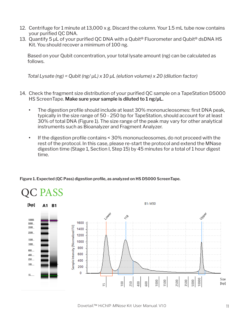- 12. Centrifuge for 1 minute at 13,000 x g. Discard the column. Your 1.5 mL tube now contains your purified QC DNA.
- 13. Quantify 5 μL of your purified QC DNA with a Qubit<sup>®</sup> Fluorometer and Qubit<sup>®</sup> dsDNA HS Kit. You should recover a minimum of 100 ng.

Based on your Qubit concentration, your total lysate amount (ng) can be calculated as follows.

*Total Lysate (ng) = Qubit (ng/ μL) x 10 μL (elution volume) x 20 (dilution factor)*

- 14. Check the fragment size distribution of your purified QC sample on a TapeStation D5000 HS ScreenTape. **Make sure your sample is diluted to 1 ng/μL.**
	- **•** The digestion profile should include at least 30% mononucleosomes: first DNA peak, typically in the size range of 50 - 250 bp for TapeStation, should account for at least 30% of total DNA (Figure 1). The size range of the peak may vary for other analytical instruments such as Bioanalyzer and Fragment Analyzer.
	- **•** If the digestion profile contains < 30% mononucleosomes, do not proceed with the rest of the protocol. In this case, please re-start the protocol and extend the MNase digestion time (Stage 1, Section I, Step 15) by 45 minutes for a total of 1 hour digest time.



**Figure 1. Expected (QC Pass) digestion profile, as analyzed on HS D5000 ScreenTape.**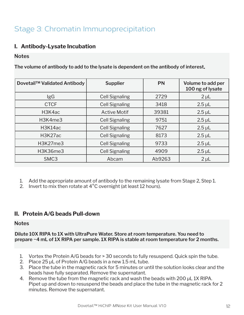# Stage 3: Chromatin Immunoprecipitation

### **I. Antibody-Lysate Incubation**

#### **Notes**

**The volume of antibody to add to the lysate is dependent on the antibody of interest.**

| Dovetail™ Validated Antibody      | <b>Supplier</b>       | <b>PN</b> | Volume to add per<br>100 ng of lysate |
|-----------------------------------|-----------------------|-----------|---------------------------------------|
| lgG                               | <b>Cell Signaling</b> | 2729      | $2 \mu L$                             |
| <b>CTCF</b>                       | <b>Cell Signaling</b> | 3418      | $2.5 \mu L$                           |
| H3K4ac                            | <b>Active Motif</b>   | 39381     | $2.5 \mu L$                           |
| H3K4me3                           | <b>Cell Signaling</b> | 9751      | $2.5 \mu L$                           |
| H <sub>3</sub> K <sub>14</sub> ac | <b>Cell Signaling</b> | 7627      | $2.5 \mu L$                           |
| H3K27ac                           | <b>Cell Signaling</b> | 8173      | $2.5 \mu L$                           |
| H3K27me3                          | <b>Cell Signaling</b> | 9733      | $2.5 \mu L$                           |
| <b>H3K36me3</b>                   | <b>Cell Signaling</b> | 4909      | $2.5 \mu L$                           |
| SMC <sub>3</sub>                  | Abcam                 | Ab9263    | $2 \mu L$                             |

- 1. Add the appropriate amount of antibody to the remaining lysate from Stage 2, Step 1.
- 2. Invert to mix then rotate at 4<sup>°</sup>C overnight (at least 12 hours).

### **II. Protein A/G beads Pull-down**

#### **Notes**

**Dilute 10X RIPA to 1X with UltraPure Water. Store at room temperature. You need to prepare ~4 mL of 1X RIPA per sample. 1X RIPA is stable at room temperature for 2 months.**

- 1. Vortex the Protein A/G beads for > 30 seconds to fully resuspend. Quick spin the tube.
- 2. Place 25 μL of Protein A/G beads in a new 1.5 mL tube.
- 3. Place the tube in the magnetic rack for 5 minutes or until the solution looks clear and the beads have fully separated. Remove the supernatant.
- 4. Remove the tube from the magnetic rack and wash the beads with 200 μL 1X RIPA. Pipet up and down to resuspend the beads and place the tube in the magnetic rack for 2 minutes. Remove the supernatant.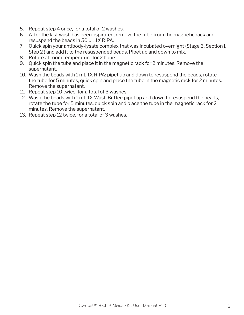- 5. Repeat step 4 once, for a total of 2 washes.
- 6. After the last wash has been aspirated, remove the tube from the magnetic rack and resuspend the beads in 50 μL 1X RIPA.
- 7. Quick spin your antibody-lysate complex that was incubated overnight (Stage 3, Section I, Step 2 ) and add it to the resuspended beads. Pipet up and down to mix.
- 8. Rotate at room temperature for 2 hours.
- 9. Quick spin the tube and place it in the magnetic rack for 2 minutes. Remove the supernatant.
- 10. Wash the beads with 1 mL 1X RIPA: pipet up and down to resuspend the beads, rotate the tube for 5 minutes, quick spin and place the tube in the magnetic rack for 2 minutes. Remove the supernatant.
- 11. Repeat step 10 twice, for a total of 3 washes.
- 12. Wash the beads with 1 mL 1X Wash Buffer: pipet up and down to resuspend the beads, rotate the tube for 5 minutes, quick spin and place the tube in the magnetic rack for 2 minutes. Remove the supernatant.
- 13. Repeat step 12 twice, for a total of 3 washes.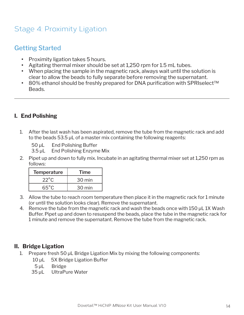# Stage 4: Proximity Ligation

### Getting Started

- **•** Proximity ligation takes 5 hours.
- **•** Agitating thermal mixer should be set at 1,250 rpm for 1.5 mL tubes.
- **•** When placing the sample in the magnetic rack, always wait until the solution is clear to allow the beads to fully separate before removing the supernatant.
- **•** 80% ethanol should be freshly prepared for DNA purification with SPRIselect™ Beads.

### **I. End Polishing**

- 1. After the last wash has been aspirated, remove the tube from the magnetic rack and add to the beads 53.5 μL of a master mix containing the following reagents:
	- 50 μL End Polishing Buffer
	- 3.5 μL End Polishing Enzyme Mix
- 2. Pipet up and down to fully mix. Incubate in an agitating thermal mixer set at 1,250 rpm as follows:

| <b>Temperature</b> | Time   |
|--------------------|--------|
| $22^{\circ}$ C     | 30 min |
| 65°C               | 30 min |

- 3. Allow the tube to reach room temperature then place it in the magnetic rack for 1 minute (or until the solution looks clear). Remove the supernatant.
- 4. Remove the tube from the magnetic rack and wash the beads once with 150 μL 1X Wash Buffer. Pipet up and down to resuspend the beads, place the tube in the magnetic rack for 1 minute and remove the supernatant. Remove the tube from the magnetic rack.

### **II. Bridge Ligation**

- 1. Prepare fresh 50 μL Bridge Ligation Mix by mixing the following components:
	- 10 μL 5X Bridge Ligation Buffer
	- 5 μL Bridge
	- 35 μL UltraPure Water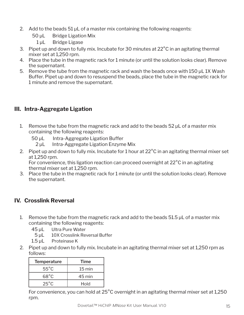- 2. Add to the beads 51 μL of a master mix containing the following reagents:
	- 50 μL Bridge Ligation Mix
		- 1 μL Bridge Ligase
- 3. Pipet up and down to fully mix. Incubate for 30 minutes at 22°C in an agitating thermal mixer set at 1,250 rpm.
- 4. Place the tube in the magnetic rack for 1 minute (or until the solution looks clear). Remove the supernatant.
- 5. Remove the tube from the magnetic rack and wash the beads once with 150 μL 1X Wash Buffer. Pipet up and down to resuspend the beads, place the tube in the magnetic rack for 1 minute and remove the supernatant.

### **III. Intra-Aggregate Ligation**

- 1. Remove the tube from the magnetic rack and add to the beads 52 μL of a master mix containing the following reagents:
	- 50 μL Intra-Aggregate Ligation Buffer
		- 2 μL Intra-Aggregate Ligation Enzyme Mix
- 2. Pipet up and down to fully mix. Incubate for 1 hour at 22°C in an agitating thermal mixer set at 1,250 rpm.

For convenience, this ligation reaction can proceed overnight at 22°C in an agitating thermal mixer set at 1,250 rpm.

3. Place the tube in the magnetic rack for 1 minute (or until the solution looks clear). Remove the supernatant.

### **IV. Crosslink Reversal**

- 1. Remove the tube from the magnetic rack and add to the beads 51.5 µL of a master mix containing the following reagents:
	- 45 μL Ultra Pure Water
	- 5 **μL** 10X Crosslink Reversal Buffer
	- 1.5 μL Proteinase K
- 2. Pipet up and down to fully mix. Incubate in an agitating thermal mixer set at 1,250 rpm as follows:

| <b>Temperature</b> | Time                |
|--------------------|---------------------|
| $55^{\circ}$ C     | $15 \,\mathrm{min}$ |
| $68^{\circ}$ C     | 45 min              |
| $25^{\circ}$ C     | Hold                |

For convenience, you can hold at 25°C overnight in an agitating thermal mixer set at 1,250 rpm.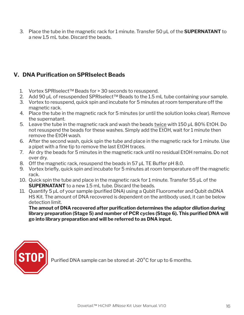3. Place the tube in the magnetic rack for 1 minute. Transfer 50 μL of the **SUPERNATANT** to a new 1.5 mL tube. Discard the beads.

### **V. DNA Purification on SPRIselect Beads**

- 1. Vortex SPRIselect™ Beads for > 30 seconds to resuspend.
- 2. Add 90 μL of resuspended SPRIselect™ Beads to the 1.5 mL tube containing your sample.
- 3. Vortex to resuspend, quick spin and incubate for 5 minutes at room temperature off the magnetic rack.
- 4. Place the tube in the magnetic rack for 5 minutes (or until the solution looks clear). Remove the supernatant.
- 5. Leave the tube in the magnetic rack and wash the beads twice with 150 μL 80% EtOH. Do not resuspend the beads for these washes. Simply add the EtOH, wait for 1 minute then remove the EtOH wash.
- 6. After the second wash, quick spin the tube and place in the magnetic rack for 1 minute. Use a pipet with a fine tip to remove the last EtOH traces.
- 7. Air dry the beads for 5 minutes in the magnetic rack until no residual EtOH remains. Do not over dry.
- 8. Off the magnetic rack, resuspend the beads in 57 μL TE Buffer pH 8.0.
- 9. Vortex briefly, quick spin and incubate for 5 minutes at room temperature off the magnetic rack.
- 10. Quick spin the tube and place in the magnetic rack for 1 minute. Transfer 55 μL of the **SUPERNATANT** to a new 1.5 mL tube. Discard the beads.
- 11. Quantify 5 μL of your sample (purified DNA) using a Qubit Fluorometer and Qubit dsDNA HS Kit. The amount of DNA recovered is dependent on the antibody used, it can be below detection limit.

**The amout of DNA recovered after purification determines the adaptor dilution during library preparation (Stage 5) and number of PCR cycles (Stage 6). This purified DNA will go into library preparation and will be referred to as DNA input.**



Purified DNA sample can be stored at -20°C for up to 6 months.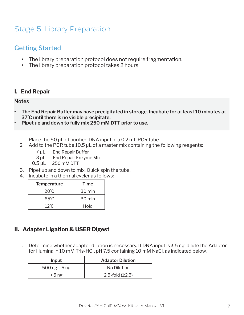# Stage 5: Library Preparation

### Getting Started

- **•** The library preparation protocol does not require fragmentation.
- **•** The library preparation protocol takes 2 hours.

### **I. End Repair**

#### **Notes**

- **• The End Repair Buffer may have precipitated in storage. Incubate for at least 10 minutes at 37˚C until there is no visible precipitate.**
- **• Pipet up and down to fully mix 250 mM DTT prior to use.**
	- 1. Place the 50 μL of purified DNA input in a 0.2 mL PCR tube.
	- 2. Add to the PCR tube  $10.5 \mu L$  of a master mix containing the following reagents:
		- 7 μL End Repair Buffer
		- 3 μL End Repair Enzyme Mix
		- 0.5 μL 250 mM DTT
	- 3. Pipet up and down to mix. Quick spin the tube.
	- 4. Incubate in a thermal cycler as follows:

| <b>Temperature</b> | Time   |
|--------------------|--------|
| $20^{\circ}$ C     | 30 min |
| 65°C               | 30 min |
| $12^{\circ}$ C.    | Hold   |

### **II. Adapter Ligation & USER Digest**

1. Determine whether adaptor dilution is necessary. If DNA input is  $\leq$  5 ng, dilute the Adaptor for Illumina in 10 mM Tris-HCI, pH 7.5 containing 10 mM NaCl, as indicated below.

| Input          | <b>Adaptor Dilution</b> |
|----------------|-------------------------|
| 500 ng $-5$ ng | No Dilution             |
| $\leq 5$ ng    | $2.5$ -fold $(1:2.5)$   |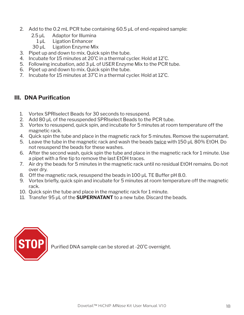- 2. Add to the 0.2 mL PCR tube containing 60.5 μL of end-repaired sample:
	- 2.5 μL Adaptor for Illumina
		- 1 μL Ligation Enhancer
	- 30 μL Ligation Enzyme Mix
- 3. Pipet up and down to mix. Quick spin the tube.
- 4. Incubate for 15 minutes at 20˚C in a thermal cycler. Hold at 12˚C.
- 5. Following incubation, add 3 μL of USER Enzyme Mix to the PCR tube.
- 6. Pipet up and down to mix. Quick spin the tube.
- 7. Incubate for 15 minutes at 37˚C in a thermal cycler. Hold at 12˚C.

### **III. DNA Purification**

- 1. Vortex SPRIselect Beads for 30 seconds to resuspend.
- 2. Add 80 μL of the resuspended SPRIselect Beads to the PCR tube.
- 3. Vortex to resuspend, quick spin, and incubate for 5 minutes at room temperature off the magnetic rack.
- 4. Quick spin the tube and place in the magnetic rack for 5 minutes. Remove the supernatant.
- 5. Leave the tube in the magnetic rack and wash the beads twice with 150 μL 80% EtOH. Do not resuspend the beads for these washes.
- 6. After the second wash, quick spin the tube and place in the magnetic rack for 1 minute. Use a pipet with a fine tip to remove the last EtOH traces.
- 7. Air dry the beads for 5 minutes in the magnetic rack until no residual EtOH remains. Do not over dry.
- 8. Off the magnetic rack, resuspend the beads in 100 μL TE Buffer pH 8.0.
- 9. Vortex briefly, quick spin and incubate for 5 minutes at room temperature off the magnetic rack.
- 10. Quick spin the tube and place in the magnetic rack for 1 minute.
- 11. Transfer 95 μL of the **SUPERNATANT** to a new tube. Discard the beads.



Purified DNA sample can be stored at -20˚C overnight.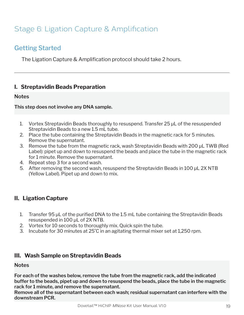# Stage 6: Ligation Capture & Amplification

### Getting Started

The Ligation Capture & Amplification protocol should take 2 hours.

### **I. Streptavidin Beads Preparation**

#### **Notes**

#### **This step does not involve any DNA sample.**

- 1. Vortex Streptavidin Beads thoroughly to resuspend. Transfer 25 μL of the resuspended Streptavidin Beads to a new 1.5 mL tube.
- 2. Place the tube containing the Streptavidin Beads in the magnetic rack for 5 minutes. Remove the supernatant.
- 3. Remove the tube from the magnetic rack, wash Streptavidin Beads with 200 μL TWB (Red Label): pipet up and down to resuspend the beads and place the tube in the magnetic rack for 1 minute. Remove the supernatant.
- 4. Repeat step 3 for a second wash.
- 5. After removing the second wash, resuspend the Streptavidin Beads in 100 μL 2X NTB (Yellow Label). Pipet up and down to mix.

### **II. Ligation Capture**

- 1. Transfer 95 μL of the purified DNA to the 1.5 mL tube containing the Streptavidin Beads resuspended in 100 μL of 2X NTB.
- 2. Vortex for 10 seconds to thoroughly mix. Quick spin the tube.
- 3. Incubate for 30 minutes at 25˚C in an agitating thermal mixer set at 1,250 rpm.

### **III. Wash Sample on Streptavidin Beads**

#### **Notes**

**For each of the washes below, remove the tube from the magnetic rack, add the indicated buffer to the beads, pipet up and down to resuspend the beads, place the tube in the magnetic rack for 1 minute, and remove the supernatant.**

**Remove all of the supernatant between each wash; residual supernatant can interfere with the downstream PCR.**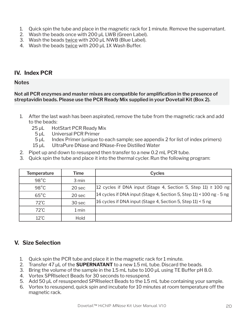- 1. Quick spin the tube and place in the magnetic rack for 1 minute. Remove the supernatant.
- 2. Wash the beads once with 200 μL LWB (Green Label).
- 3. Wash the beads twice with 200 μL NWB (Blue Label).
- 4. Wash the beads twice with 200 μL 1X Wash Buffer.

### **IV. Index PCR**

#### **Notes**

**Not all PCR enzymes and master mixes are compatible for amplification in the presence of streptavidin beads. Please use the PCR Ready Mix supplied in your Dovetail Kit (Box 2).**

- 1. After the last wash has been aspirated, remove the tube from the magnetic rack and add to the beads:
	- 25 μL HotStart PCR Ready Mix
		- 5 μL Universal PCR Primer
		- 5 μL Index Primer (unique to each sample; see appendix 2 for list of index primers)
	- 15 μL UltraPure DNase and RNase-Free Distilled Water
- 2. Pipet up and down to resuspend then transfer to a new 0.2 mL PCR tube.
- 3. Quick spin the tube and place it into the thermal cycler. Run the following program:

| <b>Temperature</b> | Time   | <b>Cycles</b>                                                                         |
|--------------------|--------|---------------------------------------------------------------------------------------|
| $98^{\circ}$ C     | 3 min  |                                                                                       |
| $98^{\circ}$ C     | 20 sec | $ 12 \text{ cycles}$ if DNA input (Stage 4, Section 5, Step 11) $\geq 100 \text{ ng}$ |
| $65^{\circ}$ C     | 20 sec | 14 cycles if DNA input (Stage 4, Section 5, Step 11) < 100 ng - 5 ng                  |
| $72^{\circ}$ C     | 30 sec | 16 cycles if DNA input (Stage 4, Section 5, Step 11) < 5 ng                           |
| $72^{\circ}$ C     | 1 min  |                                                                                       |
| $12^{\circ}$ C     | Hold   |                                                                                       |

### **V. Size Selection**

- 1. Quick spin the PCR tube and place it in the magnetic rack for 1 minute.
- 2. Transfer 47 μL of the **SUPERNATANT** to a new 1.5 mL tube. Discard the beads.
- 3. Bring the volume of the sample in the 1.5 mL tube to 100 μL using TE Buffer pH 8.0.
- 4. Vortex SPRIselect Beads for 30 seconds to resuspend.
- 5. Add 50 μL of resuspended SPRIselect Beads to the 1.5 mL tube containing your sample.
- 6. Vortex to resuspend, quick spin and incubate for 10 minutes at room temperature off the magnetic rack.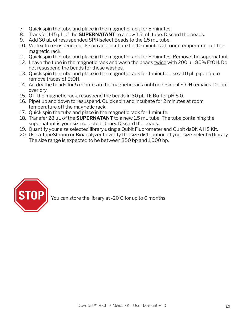- 7. Quick spin the tube and place in the magnetic rack for 5 minutes.
- 8. Transfer 145 μL of the **SUPERNATANT** to a new 1.5 mL tube. Discard the beads.
- 9. Add 30 μL of resuspended SPRIselect Beads to the 1.5 mL tube.
- 10. Vortex to resuspend, quick spin and incubate for 10 minutes at room temperature off the magnetic rack.
- 11. Quick spin the tube and place in the magnetic rack for 5 minutes. Remove the supernatant.
- 12. Leave the tube in the magnetic rack and wash the beads twice with 200 μL 80% EtOH. Do not resuspend the beads for these washes.
- 13. Quick spin the tube and place in the magnetic rack for 1 minute. Use a 10 µL pipet tip to remove traces of EtOH.
- 14. Air dry the beads for 5 minutes in the magnetic rack until no residual EtOH remains. Do not over dry.
- 15. Off the magnetic rack, resuspend the beads in 30 μL TE Buffer pH 8.0.
- 16. Pipet up and down to resuspend. Quick spin and incubate for 2 minutes at room temperature off the magnetic rack.
- 17. Quick spin the tube and place in the magnetic rack for 1 minute.
- 18. Transfer 28 μL of the **SUPERNATANT** to a new 1.5 mL tube. The tube containing the supernatant is your size selected library. Discard the beads.
- 19. Quantify your size selected library using a Qubit Fluorometer and Qubit dsDNA HS Kit.
- 20. Use a TapeStation or Bioanalyzer to verify the size distribution of your size-selected library. The size range is expected to be between 350 bp and 1,000 bp.



You can store the library at -20˚C for up to 6 months.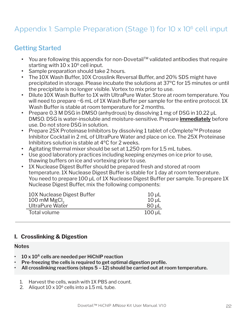# Appendix 1: Sample Preparation (Stage 1) for 10 x 10<sup>6</sup> cell input

### Getting Started

- You are following this appendix for non-Dovetail™ validated antibodies that require starting with  $10 \times 10^6$  cell input.
- **•** Sample preparation should take 2 hours.
- **•** The 10X Wash Buffer, 10X Crosslink Reversal Buffer, and 20% SDS might have precipitated in storage. Please incubate the solutions at 37ºC for 15 minutes or until the precipitate is no longer visible. Vortex to mix prior to use.
- **•** Dilute 10X Wash Buffer to 1X with UltraPure Water. Store at room temperature. You will need to prepare ~6 mL of 1X Wash Buffer per sample for the entire protocol. 1X Wash Buffer is stable at room temperature for 2 months.
- **•** Prepare 0.3 M DSG in DMSO (anhydrous) by dissolving 1 mg of DSG in 10.22 μL DMSO. DSG is water-insoluble and moisture-sensitive. Prepare **immediately** before use. Do not store DSG in solution.
- **•** Prepare 25X Proteinase Inhibitors by dissolving 1 tablet of cOmplete™ Protease Inhibitor Cocktail in 2 mL of UltraPure Water and place on ice. The 25X Proteinase Inhibitors solution is stable at 4ºC for 2 weeks.
- **•** Agitating thermal mixer should be set at 1,250 rpm for 1.5 mL tubes.
- **•** Use good laboratory practices including keeping enzymes on ice prior to use, thawing buffers on ice and vortexing prior to use.
- **•** 1X Nuclease Digest Buffer should be prepared fresh and stored at room temperature. 1X Nuclease Digest Buffer is stable for 1 day at room temperature. You need to prepare 100 μL of 1X Nuclease Digest Buffer per sample. To prepare 1X Nuclease Digest Buffer, mix the following components:

| 10X Nuclease Digest Buffer | $10 \mu L$  |
|----------------------------|-------------|
| 100 mM $MgCl2$             | $10 \mu L$  |
| UltraPure Water            | $80 \mu L$  |
| Total volume               | $100 \mu L$ |

### **I. Crosslinking & Digestion**

#### **Notes**

- **• 10 x 10⁶ cells are needed per HiChIP reaction**
- **• Pre-freezing the cells is required to get optimal digestion profile.**
- **• All crosslinking reactions (steps 5 12) should be carried out at room temperature.**
	- 1. Harvest the cells, wash with 1X PBS and count.
	- 2. Aliquot  $10 \times 10^6$  cells into a 1.5 mL tube.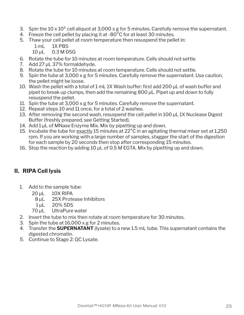- 3. Spin the 10 x 10 $^6$  cell aliquot at 3,000 x g for 5 minutes. Carefully remove the supernatant.
- 4. Freeze the cell pellet by placing it at -80°C for at least 30 minutes.
- 5. Thaw your cell pellet at room temperature then resuspend the pellet in:

1 mL 1X PBS

10 μL 0.3 M DSG

- 6. Rotate the tube for 10 minutes at room temperature. Cells should not settle.
- 7. Add 27 μL 37% formaldehyde.
- 8. Rotate the tube for 10 minutes at room temperature. Cells should not settle.
- 9. Spin the tube at 3,000 x g for 5 minutes. Carefully remove the supernatant. Use caution, the pellet might be loose.
- 10. Wash the pellet with a total of 1 mL 1X Wash buffer: first add 200 μL of wash buffer and pipet to break up clumps, then add the remaining 800 μL. Pipet up and down to fully resuspend the pellet.
- 11. Spin the tube at 3,000 x g for 5 minutes. Carefully remove the supernatant.
- 12. Repeat steps 10 and 11 once, for a total of 2 washes.
- 13. After removing the second wash, resuspend the cell pellet in 100 μL 1X Nuclease Digest Buffer (freshly prepared, see Getting Started).
- 14. Add 1 μL of MNase Enzyme Mix. Mix by pipetting up and down.
- 15. Incubate the tube for  $\frac{exactly}{15}$  minutes at 22 $^{\circ}$ C in an agitating thermal mixer set at 1,250 rpm. If you are working with a large number of samples, stagger the start of the digestion for each sample by 20 seconds then stop after corresponding 15 minutes.
- 16. Stop the reaction by adding 10 μL of 0.5 M EGTA. Mix by pipetting up and down.

### **II. RIPA Cell lysis**

- 1. Add to the sample tube:
	- 20 *uL* 10X RIPA
	- 8 μL 25X Protease Inhibitors
	- 1 μL 20% SDS
	- 70 μL UltraPure water
- 2. Invert the tube to mix then rotate at room temperature for 30 minutes.
- 3. Spin the tube at 16,000 x g for 2 minutes.
- 4. Transfer the **SUPERNATANT** (lysate) to a new 1.5 mL tube. This supernatant contains the digested chromatin.
- 5. Continue to Stage 2: QC Lysate.